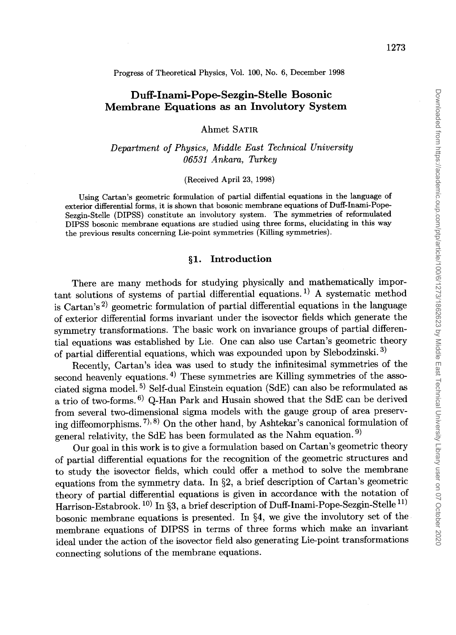Progress of Theoretical Physics, Vol. 100, No.6, December 1998

# **Duff-Inami-Pope-Sezgin-Stelle Bosonic Membrane Equations as an Involutory System**

Ahmet SATIR

*Department of Physics, Middle East Technical University 06531 Ankara, Turkey* 

(Received April 23, 1998)

Using Cartan's geometric formulation of partial diffential equations in the language of exterior differential forms, it is shown that bosonic membrane equations of Duff-Inami-Pope-Sezgin-Stelle (DIPSS) constitute an involutory system. The symmetries of reformulated DIPSS bosonic membrane equations are studied using three forms, elucidating in this way the previous results concerning Lie-point symmetries (Killing symmetries).

#### **§1. Introduction**

There are many methods for studying physically and mathematically important solutions of systems of partial differential equations. 1) A systematic method is Cartan's<sup>2)</sup> geometric formulation of partial differential equations in the language of exterior differential forms invariant under the isovector fields which generate the symmetry transformations. The basic work on invariance groups of partial differential equations was established by Lie. One can also use Cartan's geometric theory of partial differential equations, which was expounded upon by Slebodzinski. 3)

Recently, Cartan's idea was used to study the infinitesimal symmetries of the second heavenly equations.<sup>4)</sup> These symmetries are Killing symmetries of the associated sigma model. 5) Self-dual Einstein equation (SdE) can also be reformulated as a trio of two-forms. 6) Q-Han Park and Husain showed that the SdE can be derived from several two-dimensional sigma models with the gauge group of area preserving diffeomorphisms. 7),8) On the other hand, by Ashtekar's canonical formulation of general relativity, the SdE has been formulated as the Nahm equation. 9)

Our goal in this work is to give a formulation based on Cartan's geometric theory of partial differential equations for the recognition of the geometric structures and to study the isovector fields, which could offer a method to solve the membrane equations from the symmetry data. In §2, a brief description of Cartan's geometric theory of partial differential equations is given in accordance with the notation of Harrison-Estabrook. 10) In §3, a brief description of Duff-Inami-Pope-Sezgin-Stelle 11) bosonic membrane equations is presented. In §4, we give the involutory set of the membrane equations of DIPSS in terms of three forms which make an invariant ideal under the action of the isovector field also generating Lie-point transformations connecting solutions of the membrane equations.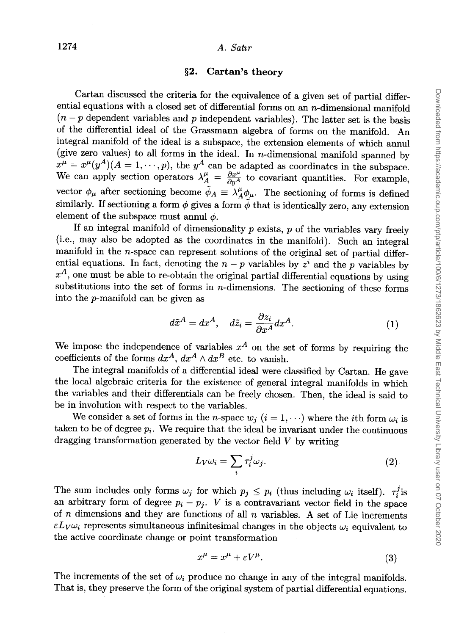## 1274 *A. Sattr*

## §2. Cartan's **theory**

Cartan discussed the criteria for the equivalence of a given set of partial differential equations with a closed set of differential forms on an  $n$ -dimensional manifold  $(n - p)$  dependent variables and *p* independent variables). The latter set is the basis of the differential ideal of the Grassmann algebra of forms on the manifold. An integral manifold of the ideal is a subspace, the extension elements of which annul (give zero values) to all forms in the ideal. In *n*-dimensional manifold spanned by  $x^{\mu} = x^{\mu}(y^A)(A = 1, \dots, p)$ , the  $y^A$  can be adapted as coordinates in the subspace. We can apply section operators  $\lambda_A^{\mu} = \frac{\partial x^{\mu}}{\partial u^A}$  to covariant quantities. For example, vector  $\phi_{\mu}$  after sectioning become  $\tilde{\phi}_A \equiv \lambda_A^{\mu} \phi_{\mu}$ . The sectioning of forms is defined similarly. If sectioning a form  $\phi$  gives a form  $\tilde{\phi}$  that is identically zero, any extension element of the subspace must annul  $\phi$ .

If an integral manifold of dimensionality *P* exists, *P* of the variables vary freely (i.e., may also be adopted as the coordinates in the manifold). Such an integral manifold in the *n-space* can represent solutions of the original set of partial differential equations. In fact, denoting the  $n - p$  variables by  $z<sup>i</sup>$  and the *p* variables by  $x<sup>A</sup>$ , one must be able to re-obtain the original partial differential equations by using substitutions into the set of forms in  $n$ -dimensions. The sectioning of these forms into the p-manifold can be given as

$$
d\tilde{x}^A = dx^A, \quad d\tilde{z}_i = \frac{\partial z_i}{\partial x^A} dx^A.
$$
 (1)

We impose the independence of variables  $x^A$  on the set of forms by requiring the coefficients of the forms  $dx^A$ ,  $dx^A \wedge dx^B$  etc. to vanish.

The integral manifolds of a differential ideal were classified by Cartan. He gave the local algebraic criteria for the existence of general integral manifolds in which the variables and their differentials can be freely chosen. Then, the ideal is said to be in involution with respect to the variables.

We consider a set of forms in the *n*-space  $w_i$  ( $i = 1, \dots$ ) where the *i*th form  $\omega_i$  is taken to be of degree  $p_i$ . We require that the ideal be invariant under the continuous dragging transformation generated by the vector field *V* by writing

$$
L_V \omega_i = \sum_i \tau_i^j \omega_j. \tag{2}
$$

The sum includes only forms  $\omega_j$  for which  $p_j \leq p_i$  (thus including  $\omega_i$  itself).  $\tau_i^j$  is an arbitrary form of degree  $p_i - p_j$ . *V* is a contravariant vector field in the space of *n* dimensions and they are functions of all *n* variables. A set of Lie increments  $\epsilon L_V \omega_i$  represents simultaneous infinitesimal changes in the objects  $\omega_i$  equivalent to the active coordinate change or point transformation

$$
x^{\mu} = x^{\mu} + \varepsilon V^{\mu}.
$$
 (3)

The increments of the set of  $\omega_i$  produce no change in any of the integral manifolds. That is, they preserve the form of the original system of partial differential equations.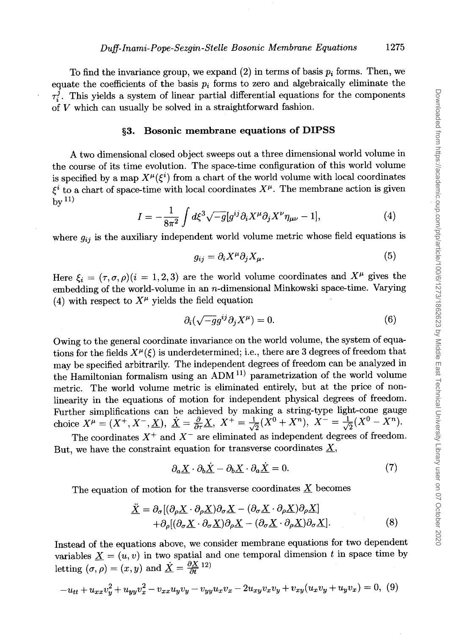To find the invariance group, we expand  $(2)$  in terms of basis  $p_i$  forms. Then, we equate the coefficients of the basis  $p_i$  forms to zero and algebraically eliminate the  $\tau_i^j$ . This yields a system of linear partial differential equations for the components of V which can usually be solved in a straightforward fashion.

#### §3. **Bosonic membrane equations of DIPSS**

A two dimensional closed object sweeps out a three dimensional world volume in the course of its time evolution. The space-time configuration of this world volume is specified by a map  $X^{\mu}(\xi^{i})$  from a chart of the world volume with local coordinates  $\xi^i$  to a chart of space-time with local coordinates  $X^\mu$ . The membrane action is given  $hv<sup>11</sup>$ 

$$
I = -\frac{1}{8\pi^2} \int d\xi^3 \sqrt{-g} [g^{ij} \partial_i X^\mu \partial_j X^\nu \eta_{\mu\nu} - 1], \tag{4}
$$

where  $g_{ij}$  is the auxiliary independent world volume metric whose field equations is

$$
g_{ij} = \partial_i X^\mu \partial_j X_\mu. \tag{5}
$$

Here  $\mathcal{E}_i = (\tau, \sigma, \rho)(i = 1, 2, 3)$  are the world volume coordinates and  $X^{\mu}$  gives the embedding of the world-volume in an n-dimensional Minkowski space-time. Varying (4) with respect to  $X^{\mu}$  yields the field equation

$$
\partial_i(\sqrt{-g}g^{ij}\partial_j X^\mu) = 0. \tag{6}
$$

Owing to the general coordinate invariance on the world volume, the system of equations for the fields  $X^{\mu}(\xi)$  is underdetermined; i.e., there are 3 degrees of freedom that may be specified arbitrarily. The independent degrees of freedom can be analyzed in the Hamiltonian formalism using an ADM 11) parametrization of the world volume metric. The world volume metric is eliminated entirely, but at the price of nonlinearity in the equations of motion for independent physical degrees of freedom. Further simplifications can be achieved by making a string-type light-cone gauge choice  $X^{\mu} = (X^+, X^-, \underline{X}), \; \underline{\dot{X}} = \frac{\partial}{\partial \tau} \underline{X}, \; X^+ = \frac{1}{\sqrt{2}} (\check{X^0} + X^n), \; \check{X^-} = \frac{1}{\sqrt{2}} (X^0 - \check{X}^n).$ 

The coordinates  $X^+$  and  $X^-$  are eliminated as independent degrees of freedom. But, we have the constraint equation for transverse coordinates  $\underline{X}$ ,

$$
\partial_a \underline{X} \cdot \partial_b \underline{X} - \partial_b \underline{X} \cdot \partial_a \underline{X} = 0. \tag{7}
$$

The equation of motion for the transverse coordinates  $X$  becomes

$$
\underline{\ddot{X}} = \partial_{\sigma} [(\partial_{\rho} \underline{X} \cdot \partial_{\rho} \underline{X}) \partial_{\sigma} \underline{X} - (\partial_{\sigma} \underline{X} \cdot \partial_{\rho} \underline{X}) \partial_{\rho} \underline{X}] \n+ \partial_{\rho} [(\partial_{\sigma} \underline{X} \cdot \partial_{\sigma} \underline{X}) \partial_{\rho} \underline{X} - (\partial_{\sigma} \underline{X} \cdot \partial_{\rho} \underline{X}) \partial_{\sigma} \underline{X}].
$$
\n(8)

Instead of the equations above, we consider membrane equations for two dependent variables  $\underline{X} = (u, v)$  in two spatial and one temporal dimension t in space time by letting  $(\sigma, \rho) = (x, y)$  and  $\underline{\dot{X}} = \frac{\partial X}{\partial t}^{12}$ 

$$
-u_{tt} + u_{xx}v_y^2 + u_{yy}v_x^2 - v_{xx}u_yv_y - v_{yy}u_xv_x - 2u_{xy}v_xv_y + v_{xy}(u_xv_y + u_yv_x) = 0, (9)
$$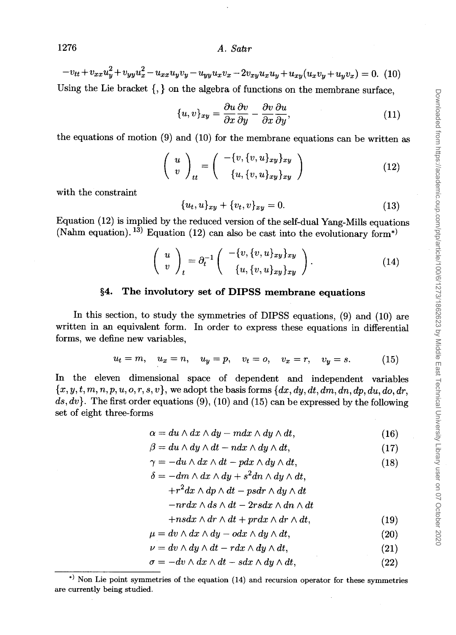$-v_{tt}+v_{xx}u_y^2+v_{yy}u_x^2-u_{xx}u_yv_y-u_{yy}u_xv_x-2v_{xy}u_xu_y+u_{xy}(u_xv_y+u_yv_x) = 0.$  (10) Using the Lie bracket  $\{,\}$  on the algebra of functions on the membrane surface,

 $\{u, v\}_{xy} = \frac{\partial u}{\partial x}\frac{\partial v}{\partial y} - \frac{\partial v}{\partial x}\frac{\partial u}{\partial y},$  (11)

the equations of motion (9) and (10) for the membrane equations can be written as

$$
\left(\begin{array}{c}\n u \\
v\n\end{array}\right)_{tt} = \left(\begin{array}{c}\n -\{v, \{v, u\}_{xy}\}_{xy} \\
\{u, \{v, u\}_{xy}\}_{xy}\n\end{array}\right) (12)
$$

with the constraint

$$
\{u_t, u\}_{xy} + \{v_t, v\}_{xy} = 0.
$$
\n(13)

Equation (12) is implied by the reduced version of the self-dual Yang-Mills equations (Nahm equation). <sup>13)</sup> Equation (12) can also be cast into the evolutionary form<sup>\*</sup>)

$$
\left(\begin{array}{c} u \\ v \end{array}\right)_t = \partial_t^{-1} \left(\begin{array}{c} -(v, \{v, u\}_{xy}\}_{xy} \\ \{u, \{v, u\}_{xy}\}_{xy} \end{array}\right). \tag{14}
$$

#### **§4. The involutory set of DIPSS membrane equations**

**In** this section, to study the symmetries of DIPSS equations, (9) and (10) are written in an equivalent form. **In** order to express these equations in differential forms, we define new variables,

$$
u_t = m
$$
,  $u_x = n$ ,  $u_y = p$ ,  $v_t = o$ ,  $v_x = r$ ,  $v_y = s$ . (15)

**In** the eleven dimensional space of dependent and independent variables  ${x, y, t, m, n, p, u, o, r, s, v}$ , we adopt the basis forms  ${dx, dy, dt, dm, dn, dp, du, do, dr}$ ds, dv}. The first order equations (9), (10) and (15) can be expressed by the following set of eight three-forms

$$
\alpha = du \wedge dx \wedge dy - m dx \wedge dy \wedge dt, \qquad (16)
$$

$$
\beta = du \wedge dy \wedge dt - ndx \wedge dy \wedge dt, \qquad (17)
$$

$$
\gamma = -du \wedge dx \wedge dt - pdx \wedge dy \wedge dt, \qquad (18)
$$

$$
\delta = -dm\wedge dx\wedge dy + s^2dn\wedge dy\wedge dt,
$$

$$
+r^2 dx\wedge dp\wedge dt - psdr\wedge dy\wedge dt
$$

$$
-n r dx\wedge ds\wedge dt - 2 r s dx\wedge dn\wedge dt
$$

$$
+nsdx \wedge dr \wedge dt + prdx \wedge dr \wedge dt, \qquad (19)
$$

$$
\mu = dv \wedge dx \wedge dy - o dx \wedge dy \wedge dt, \qquad (20)
$$

$$
\nu = dv \wedge dy \wedge dt - r dx \wedge dy \wedge dt, \qquad (21)
$$

$$
\sigma = -dv \wedge dx \wedge dt - s dx \wedge dy \wedge dt, \qquad (22)
$$

<sup>.)</sup> Non Lie point symmetries of the equation (14) and recursion operator for these symmetries are currently being studied.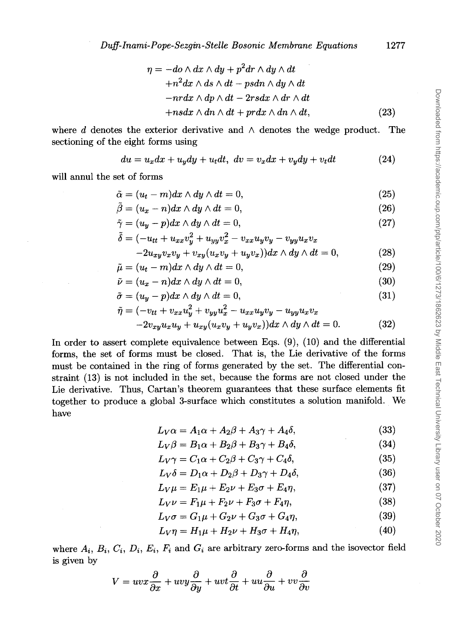$$
\eta = -do \wedge dx \wedge dy + p^2 dr \wedge dy \wedge dt + n^2 dx \wedge ds \wedge dt - psdn \wedge dy \wedge dt - n r dx \wedge dp \wedge dt - 2 r s dx \wedge dr \wedge dt + ns dx \wedge dn \wedge dt + pr dx \wedge dn \wedge dt,
$$
(23)

where d denotes the exterior derivative and  $\wedge$  denotes the wedge product. The sectioning of the eight forms using

$$
du = u_x dx + u_y dy + u_t dt, dv = v_x dx + v_y dy + v_t dt
$$
 (24)

will annul the set of forms

$$
\tilde{\alpha} = (u_t - m)dx \wedge dy \wedge dt = 0, \qquad (25)
$$

$$
\tilde{\beta} = (u_x - n)dx \wedge dy \wedge dt = 0, \qquad (26)
$$

$$
\tilde{\gamma} = (u_y - p)dx \wedge dy \wedge dt = 0, \qquad (27)
$$

$$
\tilde{\delta} = (-u_{tt} + u_{xx}v_y^2 + u_{yy}v_x^2 - v_{xx}u_yv_y - v_{yy}u_xv_x
$$
  
-2u\_{xy}v\_xv\_y + v\_{xy}(u\_xv\_y + u\_yv\_x))dx \wedge dy \wedge dt = 0, (28)

$$
\tilde{\mu} = (u_t - m)dx \wedge dy \wedge dt = 0, \qquad (29)
$$

$$
\tilde{\nu} = (u_x - n)dx \wedge dy \wedge dt = 0, \qquad (30)
$$

$$
\tilde{\sigma} = (u_y - p)dx \wedge dy \wedge dt = 0, \qquad (31)
$$

$$
\tilde{\eta} = (-v_{tt} + v_{xx}u_y^2 + v_{yy}u_x^2 - u_{xx}u_yv_y - u_{yy}u_xv_x
$$
  
-2v\_{xy}u\_xu\_y + u\_{xy}(u\_xv\_y + u\_yv\_x))dx \wedge dy \wedge dt = 0. (32)

In order to assert complete equivalence between Eqs. (9), (10) and the differential forms, the set of forms must be closed. That is, the Lie derivative of the forms must be contained in the ring of forms generated by the set. The differential constraint (13) is not included in the set, because the forms are not closed under the Lie derivative. Thus, Cartan's theorem guarantees that these surface elements fit together to produce a global 3-surface which constitutes a solution manifold. We have

$$
L_V \alpha = A_1 \alpha + A_2 \beta + A_3 \gamma + A_4 \delta, \tag{33}
$$

$$
L_V \beta = B_1 \alpha + B_2 \beta + B_3 \gamma + B_4 \delta, \tag{34}
$$

$$
L_V \gamma = C_1 \alpha + C_2 \beta + C_3 \gamma + C_4 \delta, \qquad (35)
$$

$$
L_V \delta = D_1 \alpha + D_2 \beta + D_3 \gamma + D_4 \delta, \qquad (36)
$$

$$
L_V \mu = E_1 \mu + E_2 \nu + E_3 \sigma + E_4 \eta, \tag{37}
$$

$$
L_V \nu = F_1 \mu + F_2 \nu + F_3 \sigma + F_4 \eta, \qquad (38)
$$

$$
L_V \sigma = G_1 \mu + G_2 \nu + G_3 \sigma + G_4 \eta, \qquad (39)
$$

$$
L_V \eta = H_1 \mu + H_2 \nu + H_3 \sigma + H_4 \eta, \tag{40}
$$

where  $A_i$ ,  $B_i$ ,  $C_i$ ,  $D_i$ ,  $E_i$ ,  $F_i$  and  $G_i$  are arbitrary zero-forms and the isovector field is given by

$$
V=uvx\frac{\partial}{\partial x}+uvy\frac{\partial}{\partial y}+uvt\frac{\partial}{\partial t}+uu\frac{\partial}{\partial u}+vv\frac{\partial}{\partial v}
$$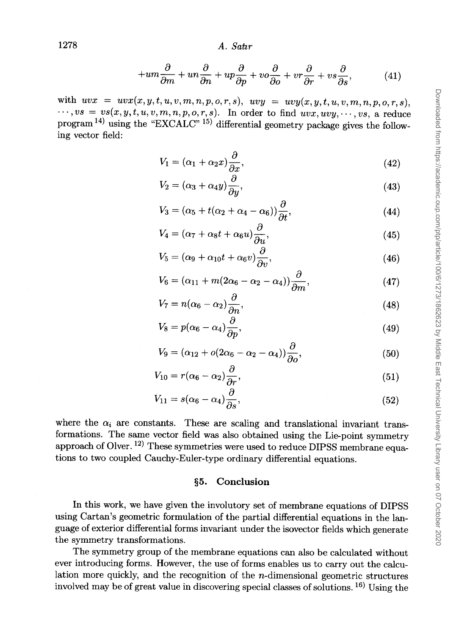$$
+um\frac{\partial}{\partial m} + un\frac{\partial}{\partial n} + up\frac{\partial}{\partial p} + vo\frac{\partial}{\partial o} + vr\frac{\partial}{\partial r} + vs\frac{\partial}{\partial s},\tag{41}
$$

with  $uvx = uvx(x, y, t, u, v, m, n, p, o, r, s), uvy = uvy(x, y, t, u, v, m, n, p, o, r, s),$  $\cdots, vs = vs(x, y, t, u, v, m, n, p, o, r, s).$  In order to find  $uvx, uvy, \cdots, vs.$  a reduce program  $^{14}$ ) using the "EXCALC"  $^{15)}$  differential geometry package gives the following vector field:

$$
V_1 = (\alpha_1 + \alpha_2 x) \frac{\partial}{\partial x},\tag{42}
$$

$$
V_2 = (\alpha_3 + \alpha_4 y) \frac{\partial}{\partial y},\tag{43}
$$

$$
V_3 = (\alpha_5 + t(\alpha_2 + \alpha_4 - \alpha_6))\frac{\partial}{\partial t},\tag{44}
$$

$$
V_4 = (\alpha_7 + \alpha_8 t + \alpha_6 u) \frac{\partial}{\partial u},\tag{45}
$$

$$
V_5 = (\alpha_9 + \alpha_{10}t + \alpha_6 v)\frac{\partial}{\partial v},\tag{46}
$$

$$
V_6 = (\alpha_{11} + m(2\alpha_6 - \alpha_2 - \alpha_4))\frac{\partial}{\partial m},\tag{47}
$$

$$
V_7 = n(\alpha_6 - \alpha_2) \frac{\partial}{\partial n},\tag{48}
$$

$$
V_8 = p(\alpha_6 - \alpha_4) \frac{\partial}{\partial p}, \qquad (49)
$$

$$
V_9 = (\alpha_{12} + o(2\alpha_6 - \alpha_2 - \alpha_4))\frac{\partial}{\partial o},\tag{50}
$$

$$
V_{10} = r(\alpha_6 - \alpha_2) \frac{\partial}{\partial r}, \qquad (51)
$$

$$
V_{11} = s(\alpha_6 - \alpha_4) \frac{\partial}{\partial s}, \qquad (52)
$$

where the  $\alpha_i$  are constants. These are scaling and translational invariant transformations. The same vector field was also obtained using the Lie-point symmetry approach of Olver. 12) These symmetries were used to reduce DIPSS membrane equations to two coupled Cauchy-Euler-type ordinary differential equations.

### §5. **Conclusion**

In this work, we have given the involutory set of membrane equations of DIPSS using Cartan's geometric formulation of the partial differential equations in the language of exterior differential forms invariant under the isovector fields which generate the symmetry transformations.

The symmetry group of the membrane equations can also be calculated without ever introducing forms. However, the use of forms enables us to carry out the calculation more quickly, and the recognition of the n-dimensional geometric structures involved may be of great value in discovering special classes of solutions. 16) Using the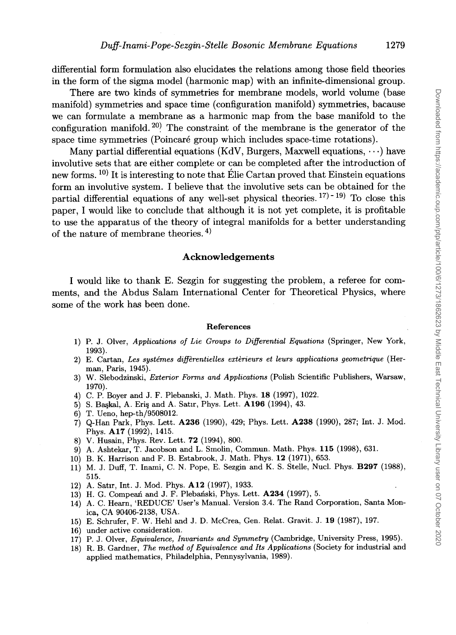differential form formulation also elucidates the relations among those field theories in the form of the sigma model (harmonic map) with an infinite-dimensional group.

There are two kinds of symmetries for membrane models, world volume (base manifold) symmetries and space time (configuration manifold) symmetries, bacause we can formulate a membrane as a harmonic map from the base manifold to the configuration manifold. <sup>20</sup> The constraint of the membrane is the generator of the space time symmetries (Poincare group which includes space-time rotations).

Many partial differential equations (KdV, Burgers, Maxwell equations,  $\cdots$ ) have involutive sets that are either complete or can be completed after the introduction of new forms. <sup>10)</sup> It is interesting to note that Elie Cartan proved that Einstein equations form an involutive system. I believe that the involutive sets can be obtained for the partial differential equations of any well-set physical theories.  $17) - 19$  To close this paper, I would like to conclude that although it is not yet complete, it is profitable to use the apparatus of the theory of integral manifolds for a better understanding of the nature of membrane theories. 4)

#### Acknowledgements

I would like to thank E. Sezgin for suggesting the problem, a referee for comments, and the Abdus Salam International Center for Theoretical Physics, where some of the work has been done.

#### References

- 1) P. J. Olver, *Applications of Lie Groups to Differential Equations* (Springer, New York, 1993).
- 2) E. Cartan, *Les systemes dif]erentielles exterieurs et leurs applications geometrique* (Herman, Paris, 1945).
- 3) W. Slebodzinski, *Exterior Forms and Applications* (Polish Scientific Publishers, Warsaw, 1970).
- 4) C. P. Boyer and J. F. Plebanski, J. Math. Phys. 18 (1997), 1022.
- 5) S. Başkal, A. Eriş and A. Satır, Phys. Lett. A196 (1994), 43.
- 6) T. Ueno, hep-th/9508012.
- 7) Q-Han Park, Phys. Lett. A236 (1990), 429; Phys. Lett. A238 (1990), 287; Int. J. Mod. Phys. A17 (1992), 1415.
- 8) V. Husain, Phys. Rev. Lett. 72 (1994), 800.
- 9) A. Ashtekar, T. Jacobson and L. Smolin, Commun. Math. Phys. 115 (1998), 631.
- 10) B. K. Harrison and F. B. Estabrook, J. Math. Phys. 12 (1971), 653.
- 11) M. J. Duff, T. Inami, C. N. Pope, E. Sezgin and K. S. Stelle, Nuc!. Phys. B297 (1988), 515.
- 12) A. Satır, Int. J. Mod. Phys. A12 (1997), 1933.
- 13) H. G. Compean and J. F. Plebanski, Phys. Lett. A234 (1997), 5.
- 14) A. C. Hearn, 'REDUCE' User's Manual. Version 3.4. The Rand Corporation, Santa Monica, CA 90406-2138, USA.
- 15) E. Schrufer, F. W. Hehl and J. D. McCrea, Gen. Relat. Gravit. J. 19 (1987), 197.
- 16) under active consideration.
- 17) P. J. Olver, *Equivalence, Invariants and Symmetry* (Cambridge, University Press, 1995).
- 18) R. B. Gardner, *The method of Equivalence and Its Applications* (Society for industrial and applied mathematics, Philadelphia, Pennysylvania, 1989).